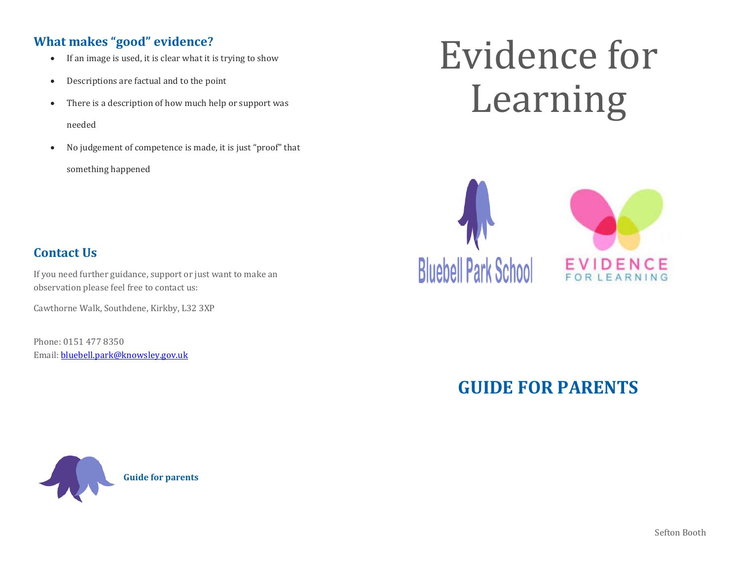# **What makes "good" evidence?**

- If an image is used, it is clear what it is trying to show
- Descriptions are factual and to the point
- There is a description of how much help or support was needed
- No judgement of competence is made, it is just "proof" that something happened

# Evidence for Learning



# **Contact Us**

If you need further guidance, support or just want to make an observation please feel free to contact us:

Cawthorne Walk, Southdene, Kirkby, L32 3XP

Phone: 0151 477 8350 Email[: bluebell.park@knowsley.gov.uk](mailto:bluebell.park@knowsley.gov.uk)



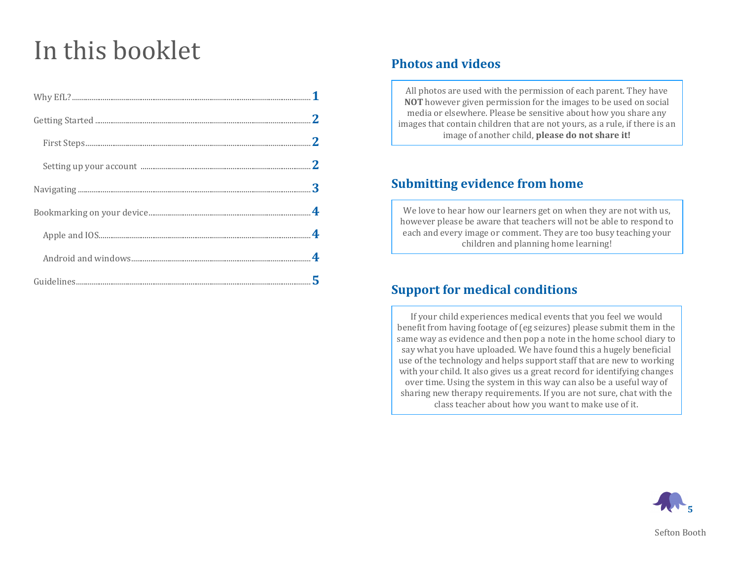# In this booklet

# **Photos and videos**

All photos are used with the permission of each parent. They have **NOT** however given permission for the images to be used on social media or elsewhere. Please be sensitive about how you share any images that contain children that are not yours, as a rule, if there is an image of another child, **please do not share it!**

### **Submitting evidence from home**

We love to hear how our learners get on when they are not with us, however please be aware that teachers will not be able to respond to each and every image or comment. They are too busy teaching your children and planning home learning!

# **Support for medical conditions**

If your child experiences medical events that you feel we would benefit from having footage of (eg seizures) please submit them in the same way as evidence and then pop a note in the home school diary to say what you have uploaded. We have found this a hugely beneficial use of the technology and helps support staff that are new to working with your child. It also gives us a great record for identifying changes over time. Using the system in this way can also be a useful way of sharing new therapy requirements. If you are not sure, chat with the class teacher about how you want to make use of it.

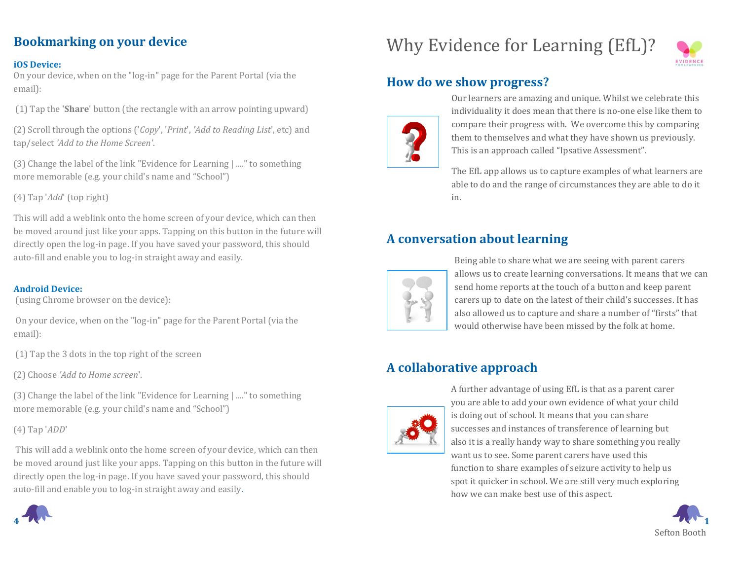# **Bookmarking on your device**

#### **iOS Device:**

On your device, when on the "log-in" page for the Parent Portal (via the email):

(1) Tap the '**Share**' button (the rectangle with an arrow pointing upward)

(2) Scroll through the options ('*Copy*', '*Print*', *'Add to Reading List*', etc) and tap/select *'Add to the Home Screen'*.

(3) Change the label of the link "Evidence for Learning | ...." to something more memorable (e.g. your child's name and "School")

(4) Tap '*Add*' (top right)

This will add a weblink onto the home screen of your device, which can then be moved around just like your apps. Tapping on this button in the future will directly open the log-in page. If you have saved your password, this should auto-fill and enable you to log-in straight away and easily.

#### **Android Device:**

(using Chrome browser on the device):

On your device, when on the "log-in" page for the Parent Portal (via the email):

(1) Tap the 3 dots in the top right of the screen 

(2) Choose *'Add to Home screen*'.

(3) Change the label of the link "Evidence for Learning | ...." to something more memorable (e.g. your child's name and "School")

(4) Tap '*ADD*'

This will add a weblink onto the home screen of your device, which can then be moved around just like your apps. Tapping on this button in the future will directly open the log-in page. If you have saved your password, this should auto-fill and enable you to log-in straight away and easily.



# Why Evidence for Learning (EfL)?



# **How do we show progress?**



Our learners are amazing and unique. Whilst we celebrate this individuality it does mean that there is no-one else like them to compare their progress with. We overcome this by comparing them to themselves and what they have shown us previously. This is an approach called "Ipsative Assessment".

The EfL app allows us to capture examples of what learners are able to do and the range of circumstances they are able to do it in.

# **A conversation about learning**



Being able to share what we are seeing with parent carers allows us to create learning conversations. It means that we can send home reports at the touch of a button and keep parent carers up to date on the latest of their child's successes. It has also allowed us to capture and share a number of "firsts" that would otherwise have been missed by the folk at home.

# **A collaborative approach**



A further advantage of using EfL is that as a parent carer you are able to add your own evidence of what your child is doing out of school. It means that you can share successes and instances of transference of learning but also it is a really handy way to share something you really want us to see. Some parent carers have used this function to share examples of seizure activity to help us spot it quicker in school. We are still very much exploring how we can make best use of this aspect.